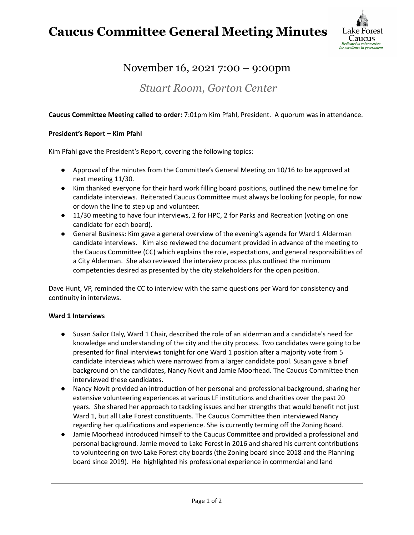## **Caucus Committee General Meeting Minutes**



### November 16, 2021 7:00 – 9:00pm

*Stuart Room, Gorton Center*

#### **Caucus Committee Meeting called to order:** 7:01pm Kim Pfahl, President. A quorum was in attendance.

#### **President's Report – Kim Pfahl**

Kim Pfahl gave the President's Report, covering the following topics:

- Approval of the minutes from the Committee's General Meeting on 10/16 to be approved at next meeting 11/30.
- Kim thanked everyone for their hard work filling board positions, outlined the new timeline for candidate interviews. Reiterated Caucus Committee must always be looking for people, for now or down the line to step up and volunteer.
- 11/30 meeting to have four interviews, 2 for HPC, 2 for Parks and Recreation (voting on one candidate for each board).
- General Business: Kim gave a general overview of the evening's agenda for Ward 1 Alderman candidate interviews. Kim also reviewed the document provided in advance of the meeting to the Caucus Committee (CC) which explains the role, expectations, and general responsibilities of a City Alderman. She also reviewed the interview process plus outlined the minimum competencies desired as presented by the city stakeholders for the open position.

Dave Hunt, VP, reminded the CC to interview with the same questions per Ward for consistency and continuity in interviews.

#### **Ward 1 Interviews**

- Susan Sailor Daly, Ward 1 Chair, described the role of an alderman and a candidate's need for knowledge and understanding of the city and the city process. Two candidates were going to be presented for final interviews tonight for one Ward 1 position after a majority vote from 5 candidate interviews which were narrowed from a larger candidate pool. Susan gave a brief background on the candidates, Nancy Novit and Jamie Moorhead. The Caucus Committee then interviewed these candidates.
- Nancy Novit provided an introduction of her personal and professional background, sharing her extensive volunteering experiences at various LF institutions and charities over the past 20 years. She shared her approach to tackling issues and her strengths that would benefit not just Ward 1, but all Lake Forest constituents. The Caucus Committee then interviewed Nancy regarding her qualifications and experience. She is currently terming off the Zoning Board.
- Jamie Moorhead introduced himself to the Caucus Committee and provided a professional and personal background. Jamie moved to Lake Forest in 2016 and shared his current contributions to volunteering on two Lake Forest city boards (the Zoning board since 2018 and the Planning board since 2019). He highlighted his professional experience in commercial and land